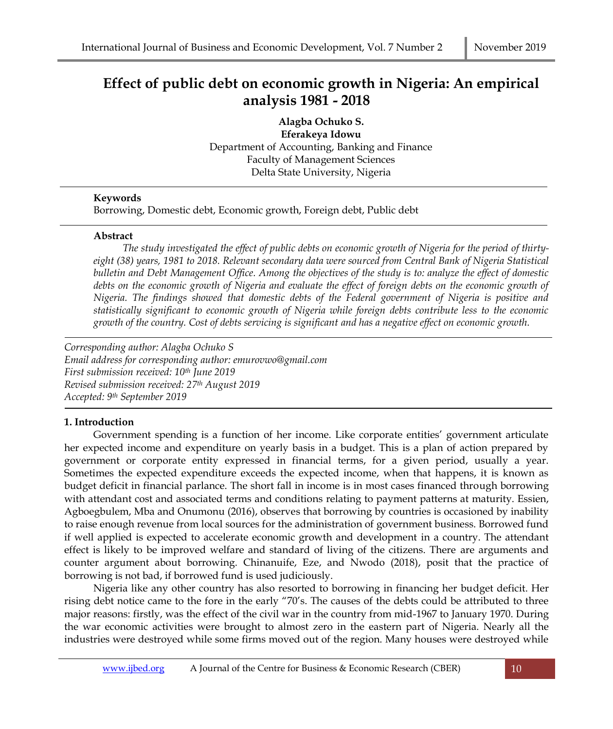# **Effect of public debt on economic growth in Nigeria: An empirical analysis 1981 - 2018**

**Alagba Ochuko S. Eferakeya Idowu** Department of Accounting, Banking and Finance Faculty of Management Sciences Delta State University, Nigeria

## **Keywords**

Borrowing, Domestic debt, Economic growth, Foreign debt, Public debt

## **Abstract**

*The study investigated the effect of public debts on economic growth of Nigeria for the period of thirtyeight (38) years, 1981 to 2018. Relevant secondary data were sourced from Central Bank of Nigeria Statistical bulletin and Debt Management Office. Among the objectives of the study is to: analyze the effect of domestic debts on the economic growth of Nigeria and evaluate the effect of foreign debts on the economic growth of Nigeria. The findings showed that domestic debts of the Federal government of Nigeria is positive and statistically significant to economic growth of Nigeria while foreign debts contribute less to the economic growth of the country. Cost of debts servicing is significant and has a negative effect on economic growth.*

*Corresponding author: Alagba Ochuko S Email address for corresponding author: emurovwo@gmail.com First submission received: 10th June 2019 Revised submission received: 27th August 2019 Accepted: 9 th September 2019*

## **1. Introduction**

Government spending is a function of her income. Like corporate entities' government articulate her expected income and expenditure on yearly basis in a budget. This is a plan of action prepared by government or corporate entity expressed in financial terms, for a given period, usually a year. Sometimes the expected expenditure exceeds the expected income, when that happens, it is known as budget deficit in financial parlance. The short fall in income is in most cases financed through borrowing with attendant cost and associated terms and conditions relating to payment patterns at maturity. Essien, Agboegbulem, Mba and Onumonu (2016), observes that borrowing by countries is occasioned by inability to raise enough revenue from local sources for the administration of government business. Borrowed fund if well applied is expected to accelerate economic growth and development in a country. The attendant effect is likely to be improved welfare and standard of living of the citizens. There are arguments and counter argument about borrowing. Chinanuife, Eze, and Nwodo (2018), posit that the practice of borrowing is not bad, if borrowed fund is used judiciously.

Nigeria like any other country has also resorted to borrowing in financing her budget deficit. Her rising debt notice came to the fore in the early "70's. The causes of the debts could be attributed to three major reasons: firstly, was the effect of the civil war in the country from mid-1967 to January 1970. During the war economic activities were brought to almost zero in the eastern part of Nigeria. Nearly all the industries were destroyed while some firms moved out of the region. Many houses were destroyed while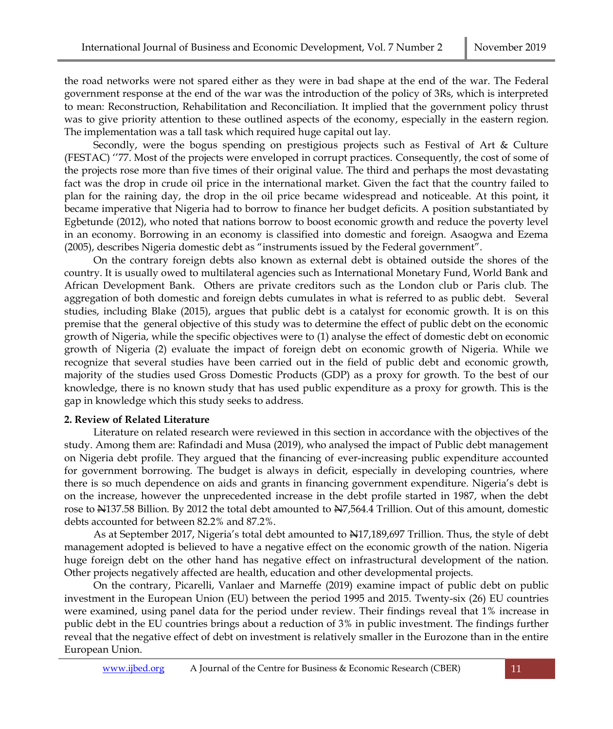the road networks were not spared either as they were in bad shape at the end of the war. The Federal government response at the end of the war was the introduction of the policy of 3Rs, which is interpreted to mean: Reconstruction, Rehabilitation and Reconciliation. It implied that the government policy thrust was to give priority attention to these outlined aspects of the economy, especially in the eastern region. The implementation was a tall task which required huge capital out lay.

Secondly, were the bogus spending on prestigious projects such as Festival of Art & Culture (FESTAC) ''77. Most of the projects were enveloped in corrupt practices. Consequently, the cost of some of the projects rose more than five times of their original value. The third and perhaps the most devastating fact was the drop in crude oil price in the international market. Given the fact that the country failed to plan for the raining day, the drop in the oil price became widespread and noticeable. At this point, it became imperative that Nigeria had to borrow to finance her budget deficits. A position substantiated by Egbetunde (2012), who noted that nations borrow to boost economic growth and reduce the poverty level in an economy. Borrowing in an economy is classified into domestic and foreign. Asaogwa and Ezema (2005), describes Nigeria domestic debt as "instruments issued by the Federal government".

On the contrary foreign debts also known as external debt is obtained outside the shores of the country. It is usually owed to multilateral agencies such as International Monetary Fund, World Bank and African Development Bank. Others are private creditors such as the London club or Paris club. The aggregation of both domestic and foreign debts cumulates in what is referred to as public debt. Several studies, including Blake (2015), argues that public debt is a catalyst for economic growth. It is on this premise that the general objective of this study was to determine the effect of public debt on the economic growth of Nigeria, while the specific objectives were to (1) analyse the effect of domestic debt on economic growth of Nigeria (2) evaluate the impact of foreign debt on economic growth of Nigeria. While we recognize that several studies have been carried out in the field of public debt and economic growth, majority of the studies used Gross Domestic Products (GDP) as a proxy for growth. To the best of our knowledge, there is no known study that has used public expenditure as a proxy for growth. This is the gap in knowledge which this study seeks to address.

#### **2. Review of Related Literature**

Literature on related research were reviewed in this section in accordance with the objectives of the study. Among them are: Rafindadi and Musa (2019), who analysed the impact of Public debt management on Nigeria debt profile. They argued that the financing of ever-increasing public expenditure accounted for government borrowing. The budget is always in deficit, especially in developing countries, where there is so much dependence on aids and grants in financing government expenditure. Nigeria's debt is on the increase, however the unprecedented increase in the debt profile started in 1987, when the debt rose to  $\approx$  137.58 Billion. By 2012 the total debt amounted to  $\approx$ 7,564.4 Trillion. Out of this amount, domestic debts accounted for between 82.2% and 87.2%.

As at September 2017, Nigeria's total debt amounted to  $\frac{127}{189,697}$  Trillion. Thus, the style of debt management adopted is believed to have a negative effect on the economic growth of the nation. Nigeria huge foreign debt on the other hand has negative effect on infrastructural development of the nation. Other projects negatively affected are health, education and other developmental projects.

On the contrary, Picarelli, Vanlaer and Marneffe (2019) examine impact of public debt on public investment in the European Union (EU) between the period 1995 and 2015. Twenty-six (26) EU countries were examined, using panel data for the period under review. Their findings reveal that 1% increase in public debt in the EU countries brings about a reduction of 3% in public investment. The findings further reveal that the negative effect of debt on investment is relatively smaller in the Eurozone than in the entire European Union.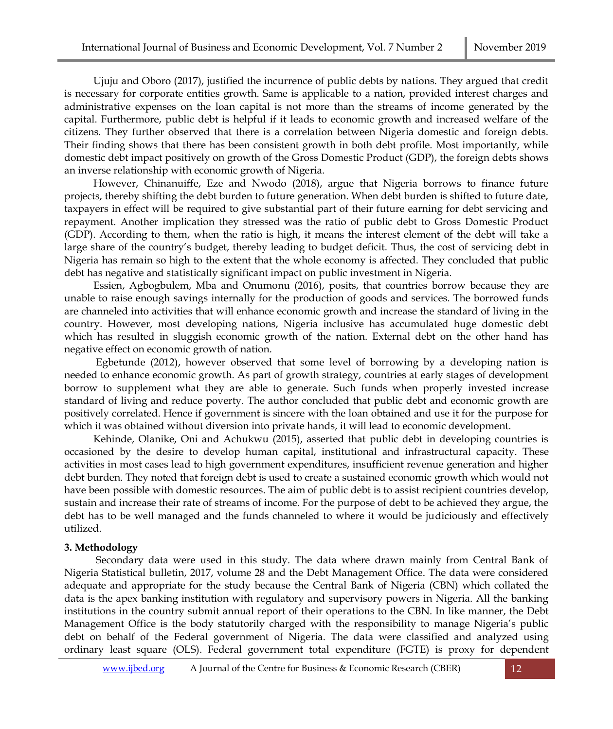Ujuju and Oboro (2017), justified the incurrence of public debts by nations. They argued that credit is necessary for corporate entities growth. Same is applicable to a nation, provided interest charges and administrative expenses on the loan capital is not more than the streams of income generated by the capital. Furthermore, public debt is helpful if it leads to economic growth and increased welfare of the citizens. They further observed that there is a correlation between Nigeria domestic and foreign debts. Their finding shows that there has been consistent growth in both debt profile. Most importantly, while domestic debt impact positively on growth of the Gross Domestic Product (GDP), the foreign debts shows an inverse relationship with economic growth of Nigeria.

However, Chinanuiffe, Eze and Nwodo (2018), argue that Nigeria borrows to finance future projects, thereby shifting the debt burden to future generation. When debt burden is shifted to future date, taxpayers in effect will be required to give substantial part of their future earning for debt servicing and repayment. Another implication they stressed was the ratio of public debt to Gross Domestic Product (GDP). According to them, when the ratio is high, it means the interest element of the debt will take a large share of the country's budget, thereby leading to budget deficit. Thus, the cost of servicing debt in Nigeria has remain so high to the extent that the whole economy is affected. They concluded that public debt has negative and statistically significant impact on public investment in Nigeria.

Essien, Agbogbulem, Mba and Onumonu (2016), posits, that countries borrow because they are unable to raise enough savings internally for the production of goods and services. The borrowed funds are channeled into activities that will enhance economic growth and increase the standard of living in the country. However, most developing nations, Nigeria inclusive has accumulated huge domestic debt which has resulted in sluggish economic growth of the nation. External debt on the other hand has negative effect on economic growth of nation.

Egbetunde (2012), however observed that some level of borrowing by a developing nation is needed to enhance economic growth. As part of growth strategy, countries at early stages of development borrow to supplement what they are able to generate. Such funds when properly invested increase standard of living and reduce poverty. The author concluded that public debt and economic growth are positively correlated. Hence if government is sincere with the loan obtained and use it for the purpose for which it was obtained without diversion into private hands, it will lead to economic development.

Kehinde, Olanike, Oni and Achukwu (2015), asserted that public debt in developing countries is occasioned by the desire to develop human capital, institutional and infrastructural capacity. These activities in most cases lead to high government expenditures, insufficient revenue generation and higher debt burden. They noted that foreign debt is used to create a sustained economic growth which would not have been possible with domestic resources. The aim of public debt is to assist recipient countries develop, sustain and increase their rate of streams of income. For the purpose of debt to be achieved they argue, the debt has to be well managed and the funds channeled to where it would be judiciously and effectively utilized.

#### **3. Methodology**

Secondary data were used in this study. The data where drawn mainly from Central Bank of Nigeria Statistical bulletin, 2017, volume 28 and the Debt Management Office. The data were considered adequate and appropriate for the study because the Central Bank of Nigeria (CBN) which collated the data is the apex banking institution with regulatory and supervisory powers in Nigeria. All the banking institutions in the country submit annual report of their operations to the CBN. In like manner, the Debt Management Office is the body statutorily charged with the responsibility to manage Nigeria's public debt on behalf of the Federal government of Nigeria. The data were classified and analyzed using ordinary least square (OLS). Federal government total expenditure (FGTE) is proxy for dependent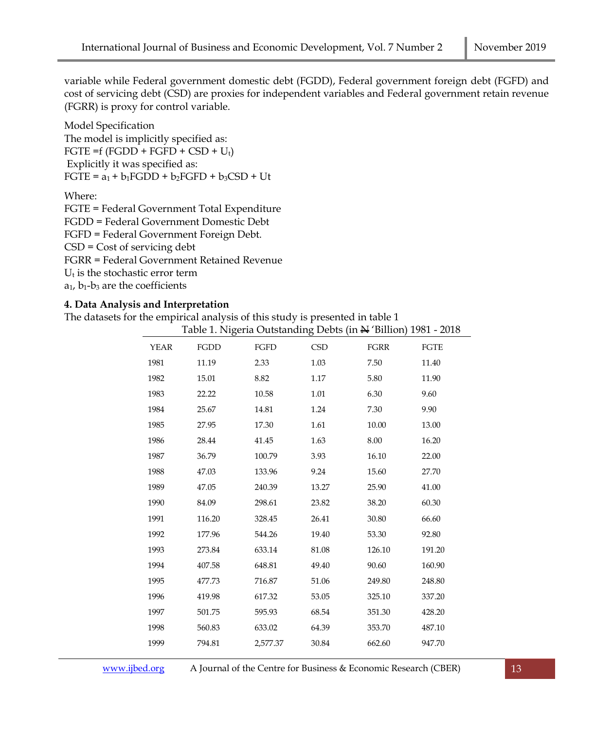variable while Federal government domestic debt (FGDD), Federal government foreign debt (FGFD) and cost of servicing debt (CSD) are proxies for independent variables and Federal government retain revenue (FGRR) is proxy for control variable.

Model Specification The model is implicitly specified as: FGTE =f  $(FGDD + FGFD + CSD + U_t)$ Explicitly it was specified as:  $FGTE = a_1 + b_1FGDD + b_2FGFD + b_3CSD + Ut$ 

Where:

FGTE = Federal Government Total Expenditure FGDD = Federal Government Domestic Debt FGFD = Federal Government Foreign Debt. CSD = Cost of servicing debt FGRR = Federal Government Retained Revenue  $U_t$  is the stochastic error term  $a_1$ ,  $b_1-b_3$  are the coefficients

## **4. Data Analysis and Interpretation**

The datasets for the empirical analysis of this study is presented in table 1

|             |        |          |            | Table 1. Nigeria Outstanding Debts (in N 'Billion) 1981 - 2018 |        |
|-------------|--------|----------|------------|----------------------------------------------------------------|--------|
| <b>YEAR</b> | FGDD   | FGFD     | <b>CSD</b> | FGRR                                                           | FGTE   |
| 1981        | 11.19  | 2.33     | 1.03       | 7.50                                                           | 11.40  |
| 1982        | 15.01  | 8.82     | 1.17       | 5.80                                                           | 11.90  |
| 1983        | 22.22  | 10.58    | 1.01       | 6.30                                                           | 9.60   |
| 1984        | 25.67  | 14.81    | 1.24       | 7.30                                                           | 9.90   |
| 1985        | 27.95  | 17.30    | 1.61       | 10.00                                                          | 13.00  |
| 1986        | 28.44  | 41.45    | 1.63       | 8.00                                                           | 16.20  |
| 1987        | 36.79  | 100.79   | 3.93       | 16.10                                                          | 22.00  |
| 1988        | 47.03  | 133.96   | 9.24       | 15.60                                                          | 27.70  |
| 1989        | 47.05  | 240.39   | 13.27      | 25.90                                                          | 41.00  |
| 1990        | 84.09  | 298.61   | 23.82      | 38.20                                                          | 60.30  |
| 1991        | 116.20 | 328.45   | 26.41      | 30.80                                                          | 66.60  |
| 1992        | 177.96 | 544.26   | 19.40      | 53.30                                                          | 92.80  |
| 1993        | 273.84 | 633.14   | 81.08      | 126.10                                                         | 191.20 |
| 1994        | 407.58 | 648.81   | 49.40      | 90.60                                                          | 160.90 |
| 1995        | 477.73 | 716.87   | 51.06      | 249.80                                                         | 248.80 |
| 1996        | 419.98 | 617.32   | 53.05      | 325.10                                                         | 337.20 |
| 1997        | 501.75 | 595.93   | 68.54      | 351.30                                                         | 428.20 |
| 1998        | 560.83 | 633.02   | 64.39      | 353.70                                                         | 487.10 |
| 1999        | 794.81 | 2,577.37 | 30.84      | 662.60                                                         | 947.70 |
|             |        |          |            |                                                                |        |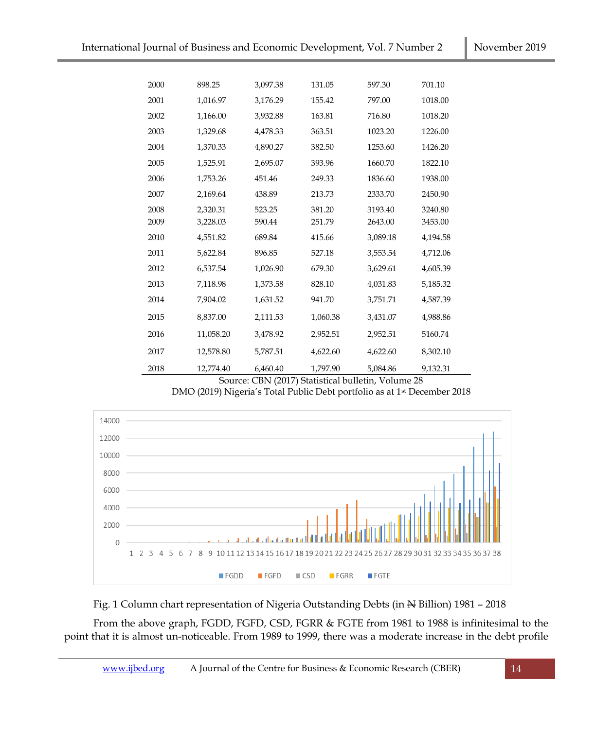| 2000 | 898.25    | 3,097.38 | 131.05   | 597.30   | 701.10   |
|------|-----------|----------|----------|----------|----------|
| 2001 | 1,016.97  | 3,176.29 | 155.42   | 797.00   | 1018.00  |
| 2002 | 1,166.00  | 3,932.88 | 163.81   | 716.80   | 1018.20  |
| 2003 | 1,329.68  | 4,478.33 | 363.51   | 1023.20  | 1226.00  |
| 2004 | 1,370.33  | 4,890.27 | 382.50   | 1253.60  | 1426.20  |
| 2005 | 1,525.91  | 2,695.07 | 393.96   | 1660.70  | 1822.10  |
| 2006 | 1,753.26  | 451.46   | 249.33   | 1836.60  | 1938.00  |
| 2007 | 2,169.64  | 438.89   | 213.73   | 2333.70  | 2450.90  |
| 2008 | 2,320.31  | 523.25   | 381.20   | 3193.40  | 3240.80  |
| 2009 | 3,228.03  | 590.44   | 251.79   | 2643.00  | 3453.00  |
| 2010 | 4,551.82  | 689.84   | 415.66   | 3,089.18 | 4,194.58 |
| 2011 | 5,622.84  | 896.85   | 527.18   | 3,553.54 | 4,712.06 |
| 2012 | 6,537.54  | 1,026.90 | 679.30   | 3,629.61 | 4,605.39 |
| 2013 | 7,118.98  | 1,373.58 | 828.10   | 4,031.83 | 5,185.32 |
| 2014 | 7,904.02  | 1,631.52 | 941.70   | 3,751.71 | 4,587.39 |
| 2015 | 8,837.00  | 2,111.53 | 1,060.38 | 3,431.07 | 4,988.86 |
| 2016 | 11,058.20 | 3,478.92 | 2,952.51 | 2,952.51 | 5160.74  |
| 2017 | 12,578.80 | 5,787.51 | 4,622.60 | 4,622.60 | 8,302.10 |
| 2018 | 12,774.40 | 6,460.40 | 1,797.90 | 5,084.86 | 9,132.31 |

Source: CBN (2017) Statistical bulletin, Volume 28 DMO (2019) Nigeria's Total Public Debt portfolio as at 1st December 2018



Fig. 1 Column chart representation of Nigeria Outstanding Debts (in  $\frac{M}{N}$  Billion) 1981 - 2018

From the above graph, FGDD, FGFD, CSD, FGRR & FGTE from 1981 to 1988 is infinitesimal to the point that it is almost un-noticeable. From 1989 to 1999, there was a moderate increase in the debt profile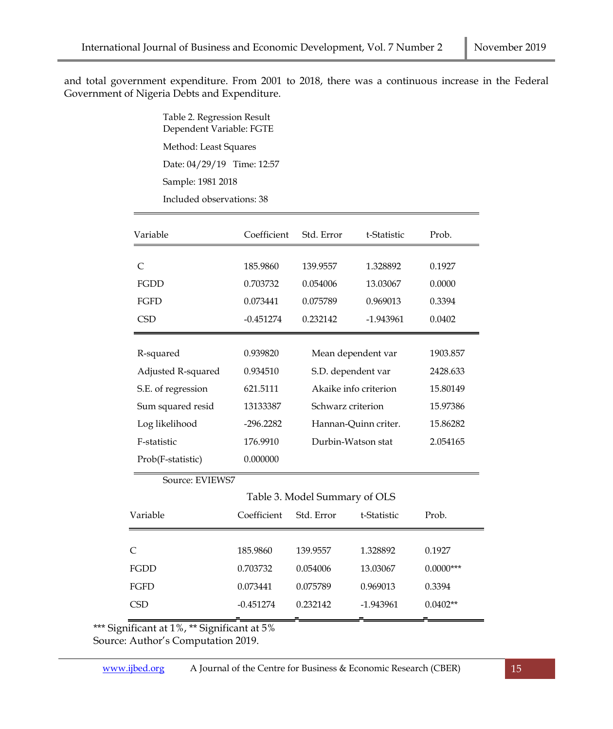and total government expenditure. From 2001 to 2018, there was a continuous increase in the Federal Government of Nigeria Debts and Expenditure.

> Table 2. Regression Result Dependent Variable: FGTE Method: Least Squares Date: 04/29/19 Time: 12:57 Sample: 1981 2018 Included observations: 38

| Variable                      | Coefficient | Std. Error            | t-Statistic | Prob.       |  |  |  |  |
|-------------------------------|-------------|-----------------------|-------------|-------------|--|--|--|--|
|                               |             |                       |             |             |  |  |  |  |
| $\subset$                     | 185.9860    | 139.9557              | 1.328892    | 0.1927      |  |  |  |  |
| <b>FGDD</b>                   | 0.703732    | 0.054006              | 13.03067    | 0.0000      |  |  |  |  |
| <b>FGFD</b>                   | 0.073441    | 0.075789              | 0.969013    | 0.3394      |  |  |  |  |
| <b>CSD</b>                    | $-0.451274$ | 0.232142              | -1.943961   | 0.0402      |  |  |  |  |
|                               |             |                       |             |             |  |  |  |  |
| R-squared                     | 0.939820    | Mean dependent var    |             | 1903.857    |  |  |  |  |
| Adjusted R-squared            | 0.934510    | S.D. dependent var    |             | 2428.633    |  |  |  |  |
| S.E. of regression            | 621.5111    | Akaike info criterion |             | 15.80149    |  |  |  |  |
| Sum squared resid             | 13133387    | Schwarz criterion     |             | 15.97386    |  |  |  |  |
| Log likelihood                | $-296.2282$ | Hannan-Quinn criter.  |             | 15.86282    |  |  |  |  |
| F-statistic                   | 176.9910    | Durbin-Watson stat    |             | 2.054165    |  |  |  |  |
| Prob(F-statistic)             | 0.000000    |                       |             |             |  |  |  |  |
| Source: EVIEWS7               |             |                       |             |             |  |  |  |  |
| Table 3. Model Summary of OLS |             |                       |             |             |  |  |  |  |
| Variable                      | Coefficient | Std. Error            | t-Statistic | Prob.       |  |  |  |  |
|                               |             |                       |             |             |  |  |  |  |
| C                             | 185.9860    | 139.9557              | 1.328892    | 0.1927      |  |  |  |  |
| <b>FGDD</b>                   | 0.703732    | 0.054006              | 13.03067    | $0.0000***$ |  |  |  |  |
| <b>FGFD</b>                   | 0.073441    | 0.075789              | 0.969013    | 0.3394      |  |  |  |  |
| <b>CSD</b>                    | $-0.451274$ | 0.232142              | $-1.943961$ | $0.0402**$  |  |  |  |  |

\*\*\* Significant at 1%, \*\* Significant at 5%

Source: Author's Computation 2019.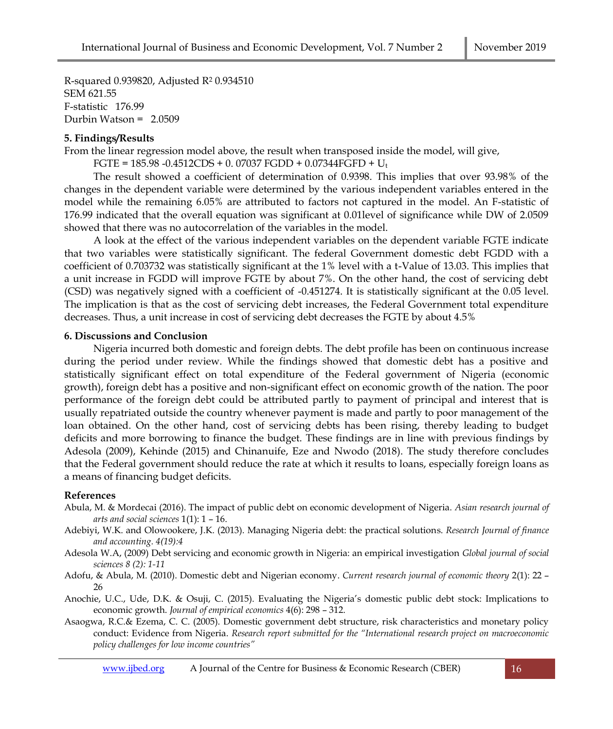R-squared 0.939820, Adjusted R<sup>2</sup> 0.934510 SEM 621.55 F-statistic 176.99 Durbin Watson = 2.0509

## **5. Findings/Results**

From the linear regression model above, the result when transposed inside the model, will give,

FGTE =  $185.98 - 0.4512CDS + 0.07037$  FGDD +  $0.07344FGFD + U<sub>t</sub>$ 

The result showed a coefficient of determination of 0.9398. This implies that over 93.98% of the changes in the dependent variable were determined by the various independent variables entered in the model while the remaining 6.05% are attributed to factors not captured in the model. An F-statistic of 176.99 indicated that the overall equation was significant at 0.01level of significance while DW of 2.0509 showed that there was no autocorrelation of the variables in the model.

A look at the effect of the various independent variables on the dependent variable FGTE indicate that two variables were statistically significant. The federal Government domestic debt FGDD with a coefficient of 0.703732 was statistically significant at the 1% level with a t-Value of 13.03. This implies that a unit increase in FGDD will improve FGTE by about 7%. On the other hand, the cost of servicing debt (CSD) was negatively signed with a coefficient of -0.451274. It is statistically significant at the 0.05 level. The implication is that as the cost of servicing debt increases, the Federal Government total expenditure decreases. Thus, a unit increase in cost of servicing debt decreases the FGTE by about 4.5%

## **6. Discussions and Conclusion**

Nigeria incurred both domestic and foreign debts. The debt profile has been on continuous increase during the period under review. While the findings showed that domestic debt has a positive and statistically significant effect on total expenditure of the Federal government of Nigeria (economic growth), foreign debt has a positive and non-significant effect on economic growth of the nation. The poor performance of the foreign debt could be attributed partly to payment of principal and interest that is usually repatriated outside the country whenever payment is made and partly to poor management of the loan obtained. On the other hand, cost of servicing debts has been rising, thereby leading to budget deficits and more borrowing to finance the budget. These findings are in line with previous findings by Adesola (2009), Kehinde (2015) and Chinanuife, Eze and Nwodo (2018). The study therefore concludes that the Federal government should reduce the rate at which it results to loans, especially foreign loans as a means of financing budget deficits.

## **References**

- Abula, M. & Mordecai (2016). The impact of public debt on economic development of Nigeria. *Asian research journal of arts and social sciences* 1(1): 1 – 16.
- Adebiyi, W.K. and Olowookere, J.K. (2013). Managing Nigeria debt: the practical solutions. *Research Journal of finance and accounting. 4(19):4*
- Adesola W.A, (2009) Debt servicing and economic growth in Nigeria: an empirical investigation *Global journal of social sciences 8 (2): 1-11*
- Adofu, & Abula, M. (2010). Domestic debt and Nigerian economy. *Current research journal of economic theory* 2(1): 22 26
- Anochie, U.C., Ude, D.K. & Osuji, C. (2015). Evaluating the Nigeria's domestic public debt stock: Implications to economic growth. *Journal of empirical economics* 4(6): 298 – 312.
- Asaogwa, R.C.& Ezema, C. C. (2005). Domestic government debt structure, risk characteristics and monetary policy conduct: Evidence from Nigeria. *Research report submitted for the "International research project on macroeconomic policy challenges for low income countries"*